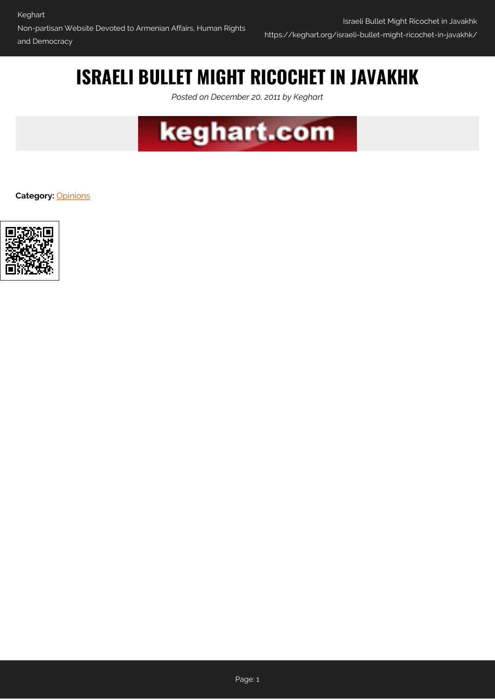# **ISRAELI BULLET MIGHT RICOCHET IN JAVAKHK**

*Posted on December 20, 2011 by Keghart*



**Category:** [Opinions](https://keghart.org/category/opinions/)

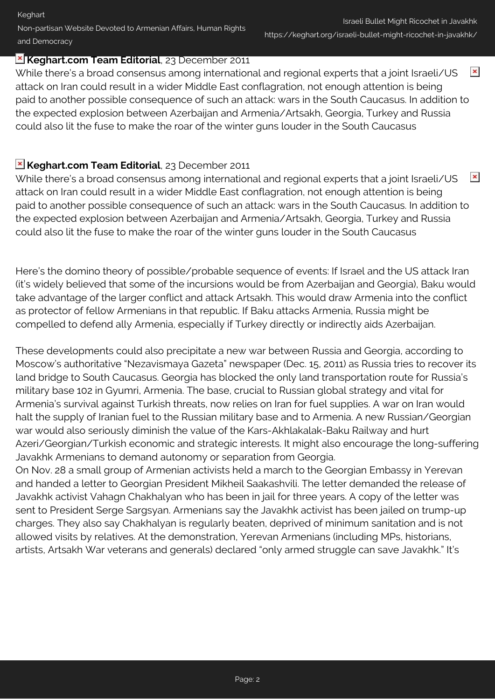**Keghart** Non-partisan Website Devoted to Armenian Affairs, Human Rights and Democracy

### **Keghart.com Team Editorial**, 23 December 2011

 $\pmb{\times}$ While there's a broad consensus among international and regional experts that a joint Israeli/US attack on Iran could result in a wider Middle East conflagration, not enough attention is being paid to another possible consequence of such an attack: wars in the South Caucasus. In addition to the expected explosion between Azerbaijan and Armenia/Artsakh, Georgia, Turkey and Russia could also lit the fuse to make the roar of the winter guns louder in the South Caucasus

## **Keghart.com Team Editorial**, 23 December 2011

 $\pmb{\times}$ While there's a broad consensus among international and regional experts that a joint Israeli/US attack on Iran could result in a wider Middle East conflagration, not enough attention is being paid to another possible consequence of such an attack: wars in the South Caucasus. In addition to the expected explosion between Azerbaijan and Armenia/Artsakh, Georgia, Turkey and Russia could also lit the fuse to make the roar of the winter guns louder in the South Caucasus

Here's the domino theory of possible/probable sequence of events: If Israel and the US attack Iran (it's widely believed that some of the incursions would be from Azerbaijan and Georgia), Baku would take advantage of the larger conflict and attack Artsakh. This would draw Armenia into the conflict as protector of fellow Armenians in that republic. If Baku attacks Armenia, Russia might be compelled to defend ally Armenia, especially if Turkey directly or indirectly aids Azerbaijan.

These developments could also precipitate a new war between Russia and Georgia, according to Moscow's authoritative "Nezavismaya Gazeta" newspaper (Dec. 15, 2011) as Russia tries to recover its land bridge to South Caucasus. Georgia has blocked the only land transportation route for Russia's military base 102 in Gyumri, Armenia. The base, crucial to Russian global strategy and vital for Armenia's survival against Turkish threats, now relies on Iran for fuel supplies. A war on Iran would halt the supply of Iranian fuel to the Russian military base and to Armenia. A new Russian/Georgian war would also seriously diminish the value of the Kars-Akhlakalak-Baku Railway and hurt Azeri/Georgian/Turkish economic and strategic interests. It might also encourage the long-suffering Javakhk Armenians to demand autonomy or separation from Georgia.

On Nov. 28 a small group of Armenian activists held a march to the Georgian Embassy in Yerevan and handed a letter to Georgian President Mikheil Saakashvili. The letter demanded the release of Javakhk activist Vahagn Chakhalyan who has been in jail for three years. A copy of the letter was sent to President Serge Sargsyan. Armenians say the Javakhk activist has been jailed on trump-up charges. They also say Chakhalyan is regularly beaten, deprived of minimum sanitation and is not allowed visits by relatives. At the demonstration, Yerevan Armenians (including MPs, historians, artists, Artsakh War veterans and generals) declared "only armed struggle can save Javakhk." It's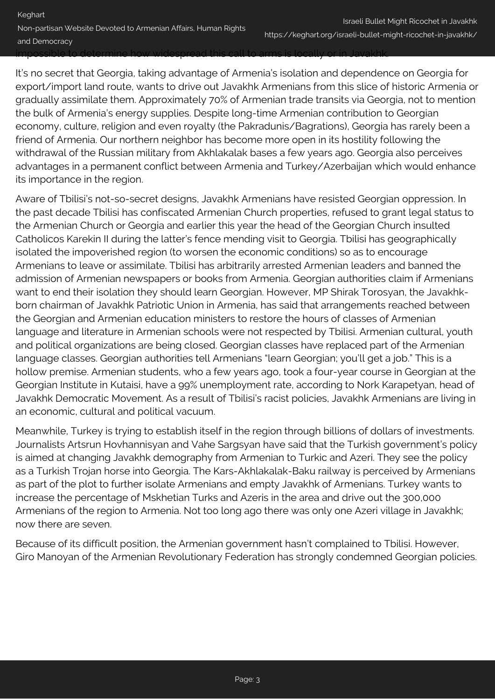It's no secret that Georgia, taking advantage of Armenia's isolation and dependence on Georgia for export/import land route, wants to drive out Javakhk Armenians from this slice of historic Armenia or gradually assimilate them. Approximately 70% of Armenian trade transits via Georgia, not to mention the bulk of Armenia's energy supplies. Despite long-time Armenian contribution to Georgian economy, culture, religion and even royalty (the Pakradunis/Bagrations), Georgia has rarely been a friend of Armenia. Our northern neighbor has become more open in its hostility following the withdrawal of the Russian military from Akhlakalak bases a few years ago. Georgia also perceives advantages in a permanent conflict between Armenia and Turkey/Azerbaijan which would enhance its importance in the region.

Aware of Tbilisi's not-so-secret designs, Javakhk Armenians have resisted Georgian oppression. In the past decade Tbilisi has confiscated Armenian Church properties, refused to grant legal status to the Armenian Church or Georgia and earlier this year the head of the Georgian Church insulted Catholicos Karekin II during the latter's fence mending visit to Georgia. Tbilisi has geographically isolated the impoverished region (to worsen the economic conditions) so as to encourage Armenians to leave or assimilate. Tbilisi has arbitrarily arrested Armenian leaders and banned the admission of Armenian newspapers or books from Armenia. Georgian authorities claim if Armenians want to end their isolation they should learn Georgian. However, MP Shirak Torosyan, the Javakhkborn chairman of Javakhk Patriotic Union in Armenia, has said that arrangements reached between the Georgian and Armenian education ministers to restore the hours of classes of Armenian language and literature in Armenian schools were not respected by Tbilisi. Armenian cultural, youth and political organizations are being closed. Georgian classes have replaced part of the Armenian language classes. Georgian authorities tell Armenians "learn Georgian; you'll get a job." This is a hollow premise. Armenian students, who a few years ago, took a four-year course in Georgian at the Georgian Institute in Kutaisi, have a 99% unemployment rate, according to Nork Karapetyan, head of Javakhk Democratic Movement. As a result of Tbilisi's racist policies, Javakhk Armenians are living in an economic, cultural and political vacuum.

Meanwhile, Turkey is trying to establish itself in the region through billions of dollars of investments. Journalists Artsrun Hovhannisyan and Vahe Sargsyan have said that the Turkish government's policy is aimed at changing Javakhk demography from Armenian to Turkic and Azeri. They see the policy as a Turkish Trojan horse into Georgia. The Kars-Akhlakalak-Baku railway is perceived by Armenians as part of the plot to further isolate Armenians and empty Javakhk of Armenians. Turkey wants to increase the percentage of Mskhetian Turks and Azeris in the area and drive out the 300,000 Armenians of the region to Armenia. Not too long ago there was only one Azeri village in Javakhk; now there are seven.

Because of its difficult position, the Armenian government hasn't complained to Tbilisi. However, Giro Manoyan of the Armenian Revolutionary Federation has strongly condemned Georgian policies.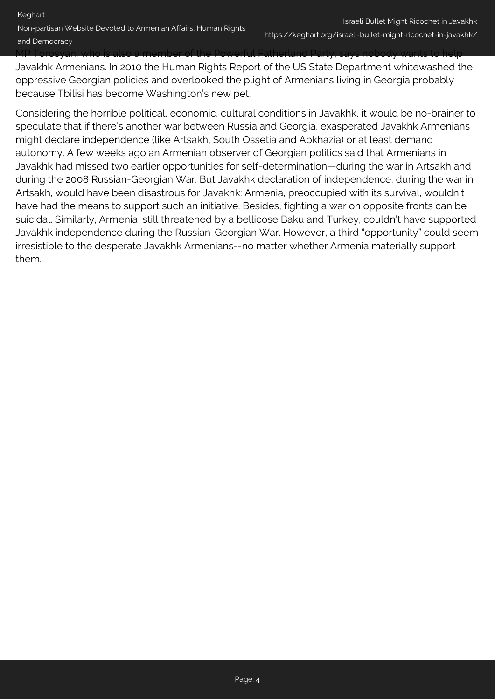MP Torosyan, who is also a member of the Powerful Fatherland Party, says nobody wants to help Javakhk Armenians. In 2010 the Human Rights Report of the US State Department whitewashed the oppressive Georgian policies and overlooked the plight of Armenians living in Georgia probably because Tbilisi has become Washington's new pet.

Considering the horrible political, economic, cultural conditions in Javakhk, it would be no-brainer to speculate that if there's another war between Russia and Georgia, exasperated Javakhk Armenians might declare independence (like Artsakh, South Ossetia and Abkhazia) or at least demand autonomy. A few weeks ago an Armenian observer of Georgian politics said that Armenians in Javakhk had missed two earlier opportunities for self-determination—during the war in Artsakh and during the 2008 Russian-Georgian War. But Javakhk declaration of independence, during the war in Artsakh, would have been disastrous for Javakhk: Armenia, preoccupied with its survival, wouldn't have had the means to support such an initiative. Besides, fighting a war on opposite fronts can be suicidal. Similarly, Armenia, still threatened by a bellicose Baku and Turkey, couldn't have supported Javakhk independence during the Russian-Georgian War. However, a third "opportunity" could seem irresistible to the desperate Javakhk Armenians--no matter whether Armenia materially support them.